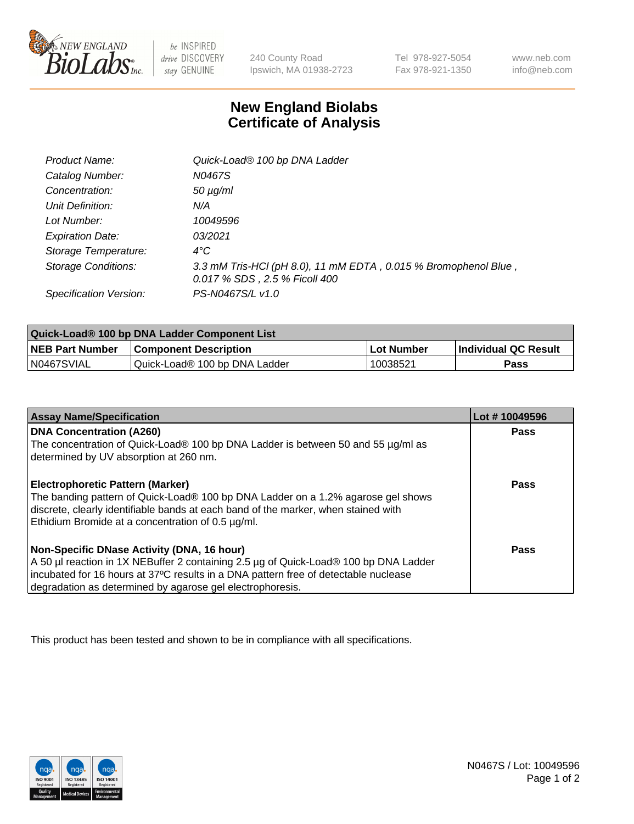

 $be$  INSPIRED drive DISCOVERY stay GENUINE

240 County Road Ipswich, MA 01938-2723 Tel 978-927-5054 Fax 978-921-1350 www.neb.com info@neb.com

## **New England Biolabs Certificate of Analysis**

| <b>Product Name:</b>       | Quick-Load® 100 bp DNA Ladder                                                                    |
|----------------------------|--------------------------------------------------------------------------------------------------|
| Catalog Number:            | N0467S                                                                                           |
| Concentration:             | $50 \mu g/ml$                                                                                    |
| Unit Definition:           | N/A                                                                                              |
| Lot Number:                | 10049596                                                                                         |
| <b>Expiration Date:</b>    | 03/2021                                                                                          |
| Storage Temperature:       | $4^{\circ}$ C                                                                                    |
| <b>Storage Conditions:</b> | 3.3 mM Tris-HCl (pH 8.0), 11 mM EDTA, 0.015 % Bromophenol Blue,<br>0.017 % SDS, 2.5 % Ficoll 400 |
| Specification Version:     | PS-N0467S/L v1.0                                                                                 |

| Quick-Load® 100 bp DNA Ladder Component List |                               |            |                             |  |
|----------------------------------------------|-------------------------------|------------|-----------------------------|--|
| <b>NEB Part Number</b>                       | <b>Component Description</b>  | Lot Number | <b>Individual QC Result</b> |  |
| N0467SVIAL                                   | Quick-Load® 100 bp DNA Ladder | 10038521   | Pass                        |  |

| <b>Assay Name/Specification</b>                                                                                                                                        | Lot #10049596 |
|------------------------------------------------------------------------------------------------------------------------------------------------------------------------|---------------|
| <b>DNA Concentration (A260)</b><br>The concentration of Quick-Load® 100 bp DNA Ladder is between 50 and 55 µg/ml as                                                    | <b>Pass</b>   |
| determined by UV absorption at 260 nm.                                                                                                                                 |               |
| <b>Electrophoretic Pattern (Marker)</b>                                                                                                                                | Pass          |
| The banding pattern of Quick-Load® 100 bp DNA Ladder on a 1.2% agarose gel shows<br>discrete, clearly identifiable bands at each band of the marker, when stained with |               |
| Ethidium Bromide at a concentration of 0.5 µg/ml.                                                                                                                      |               |
| Non-Specific DNase Activity (DNA, 16 hour)                                                                                                                             | Pass          |
| A 50 µl reaction in 1X NEBuffer 2 containing 2.5 µg of Quick-Load® 100 bp DNA Ladder                                                                                   |               |
| incubated for 16 hours at 37°C results in a DNA pattern free of detectable nuclease                                                                                    |               |
| degradation as determined by agarose gel electrophoresis.                                                                                                              |               |

This product has been tested and shown to be in compliance with all specifications.